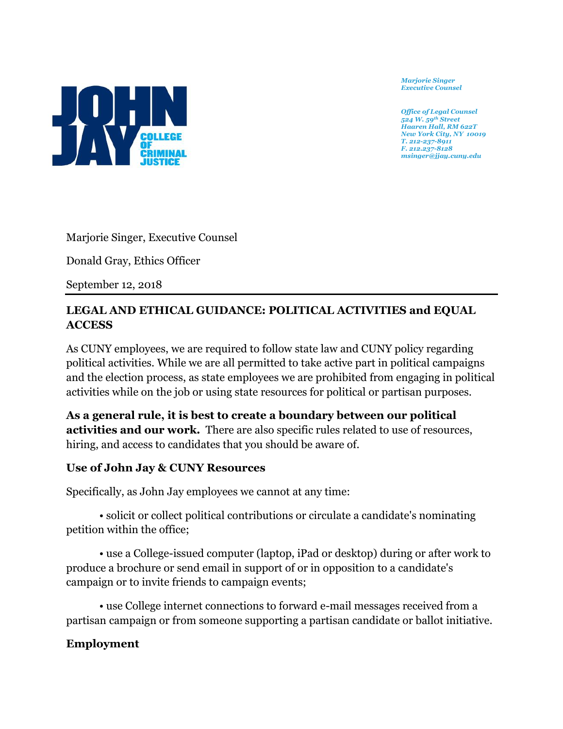

*Marjorie Singer Executive Counsel*

*Office of Legal Counsel 524 W. 59th Street Haaren Hall, RM 622T New York City, NY 10019 T. 212-237-8911 F. 212.237-8128 msinger@jjay.cuny.edu*

Marjorie Singer, Executive Counsel

Donald Gray, Ethics Officer

September 12, 2018

## **LEGAL AND ETHICAL GUIDANCE: POLITICAL ACTIVITIES and EQUAL ACCESS**

As CUNY employees, we are required to follow state law and CUNY policy regarding political activities. While we are all permitted to take active part in political campaigns and the election process, as state employees we are prohibited from engaging in political activities while on the job or using state resources for political or partisan purposes.

**As a general rule, it is best to create a boundary between our political activities and our work.** There are also specific rules related to use of resources, hiring, and access to candidates that you should be aware of.

## **Use of John Jay & CUNY Resources**

Specifically, as John Jay employees we cannot at any time:

• solicit or collect political contributions or circulate a candidate's nominating petition within the office;

• use a College-issued computer (laptop, iPad or desktop) during or after work to produce a brochure or send email in support of or in opposition to a candidate's campaign or to invite friends to campaign events;

• use College internet connections to forward e-mail messages received from a partisan campaign or from someone supporting a partisan candidate or ballot initiative.

## **Employment**